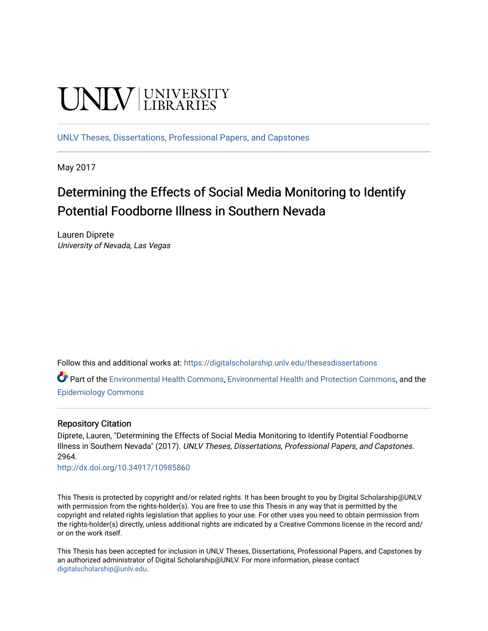# **UNIVERSITY**

[UNLV Theses, Dissertations, Professional Papers, and Capstones](https://digitalscholarship.unlv.edu/thesesdissertations)

May 2017

## Determining the Effects of Social Media Monitoring to Identify Potential Foodborne Illness in Southern Nevada

Lauren Diprete University of Nevada, Las Vegas

Follow this and additional works at: [https://digitalscholarship.unlv.edu/thesesdissertations](https://digitalscholarship.unlv.edu/thesesdissertations?utm_source=digitalscholarship.unlv.edu%2Fthesesdissertations%2F2964&utm_medium=PDF&utm_campaign=PDFCoverPages)

Part of the [Environmental Health Commons](http://network.bepress.com/hgg/discipline/64?utm_source=digitalscholarship.unlv.edu%2Fthesesdissertations%2F2964&utm_medium=PDF&utm_campaign=PDFCoverPages), [Environmental Health and Protection Commons,](http://network.bepress.com/hgg/discipline/172?utm_source=digitalscholarship.unlv.edu%2Fthesesdissertations%2F2964&utm_medium=PDF&utm_campaign=PDFCoverPages) and the [Epidemiology Commons](http://network.bepress.com/hgg/discipline/740?utm_source=digitalscholarship.unlv.edu%2Fthesesdissertations%2F2964&utm_medium=PDF&utm_campaign=PDFCoverPages) 

#### Repository Citation

Diprete, Lauren, "Determining the Effects of Social Media Monitoring to Identify Potential Foodborne Illness in Southern Nevada" (2017). UNLV Theses, Dissertations, Professional Papers, and Capstones. 2964.

<http://dx.doi.org/10.34917/10985860>

This Thesis is protected by copyright and/or related rights. It has been brought to you by Digital Scholarship@UNLV with permission from the rights-holder(s). You are free to use this Thesis in any way that is permitted by the copyright and related rights legislation that applies to your use. For other uses you need to obtain permission from the rights-holder(s) directly, unless additional rights are indicated by a Creative Commons license in the record and/ or on the work itself.

This Thesis has been accepted for inclusion in UNLV Theses, Dissertations, Professional Papers, and Capstones by an authorized administrator of Digital Scholarship@UNLV. For more information, please contact [digitalscholarship@unlv.edu](mailto:digitalscholarship@unlv.edu).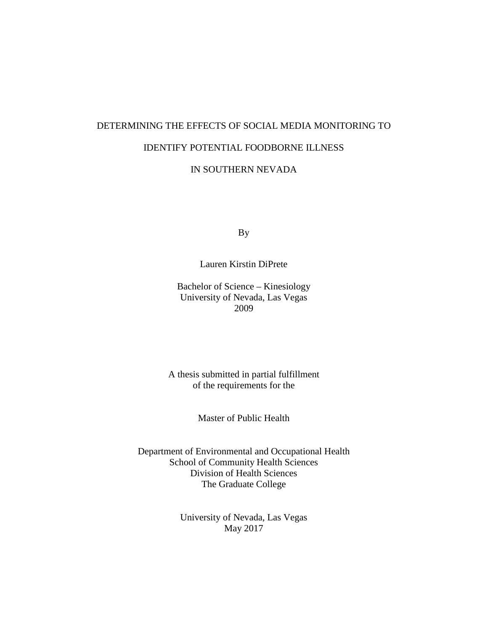## DETERMINING THE EFFECTS OF SOCIAL MEDIA MONITORING TO IDENTIFY POTENTIAL FOODBORNE ILLNESS

#### IN SOUTHERN NEVADA

By

#### Lauren Kirstin DiPrete

Bachelor of Science – Kinesiology University of Nevada, Las Vegas 2009

A thesis submitted in partial fulfillment of the requirements for the

Master of Public Health

Department of Environmental and Occupational Health School of Community Health Sciences Division of Health Sciences The Graduate College

> University of Nevada, Las Vegas May 2017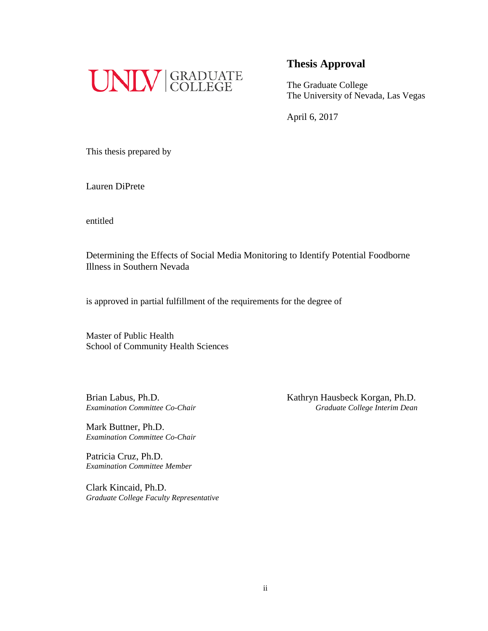

The Graduate College The University of Nevada, Las Vegas

April 6, 2017

This thesis prepared by

Lauren DiPrete

entitled

Determining the Effects of Social Media Monitoring to Identify Potential Foodborne Illness in Southern Nevada

is approved in partial fulfillment of the requirements for the degree of

Master of Public Health School of Community Health Sciences

Mark Buttner, Ph.D. *Examination Committee Co-Chair*

Patricia Cruz, Ph.D. *Examination Committee Member*

Clark Kincaid, Ph.D. *Graduate College Faculty Representative*

Brian Labus, Ph.D. Kathryn Hausbeck Korgan, Ph.D. *Examination Committee Co-Chair Graduate College Interim Dean*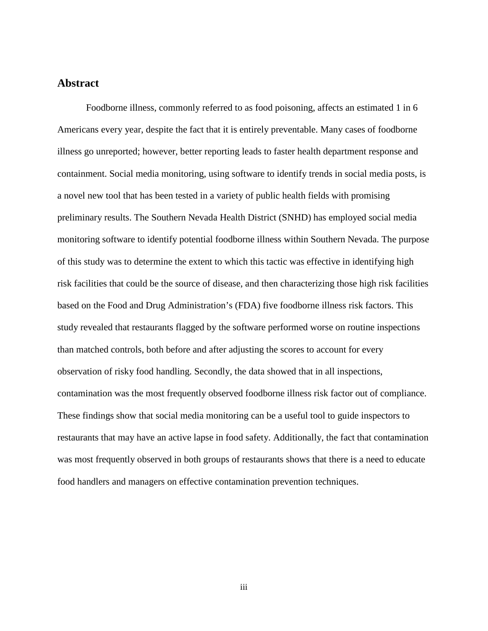#### <span id="page-3-0"></span>**Abstract**

Foodborne illness, commonly referred to as food poisoning, affects an estimated 1 in 6 Americans every year, despite the fact that it is entirely preventable. Many cases of foodborne illness go unreported; however, better reporting leads to faster health department response and containment. Social media monitoring, using software to identify trends in social media posts, is a novel new tool that has been tested in a variety of public health fields with promising preliminary results. The Southern Nevada Health District (SNHD) has employed social media monitoring software to identify potential foodborne illness within Southern Nevada. The purpose of this study was to determine the extent to which this tactic was effective in identifying high risk facilities that could be the source of disease, and then characterizing those high risk facilities based on the Food and Drug Administration's (FDA) five foodborne illness risk factors. This study revealed that restaurants flagged by the software performed worse on routine inspections than matched controls, both before and after adjusting the scores to account for every observation of risky food handling. Secondly, the data showed that in all inspections, contamination was the most frequently observed foodborne illness risk factor out of compliance. These findings show that social media monitoring can be a useful tool to guide inspectors to restaurants that may have an active lapse in food safety. Additionally, the fact that contamination was most frequently observed in both groups of restaurants shows that there is a need to educate food handlers and managers on effective contamination prevention techniques.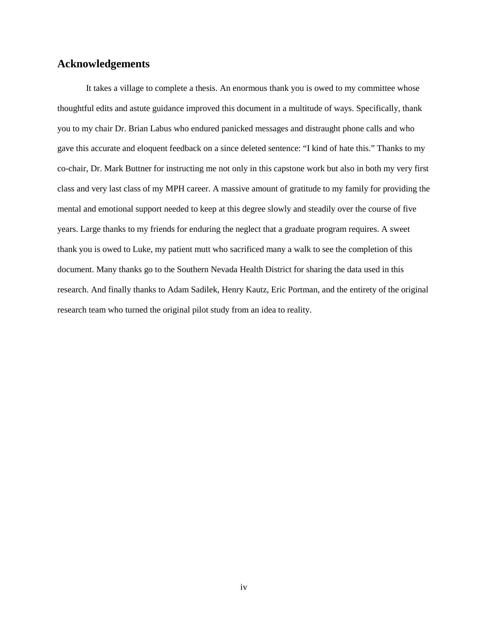### <span id="page-4-0"></span>**Acknowledgements**

It takes a village to complete a thesis. An enormous thank you is owed to my committee whose thoughtful edits and astute guidance improved this document in a multitude of ways. Specifically, thank you to my chair Dr. Brian Labus who endured panicked messages and distraught phone calls and who gave this accurate and eloquent feedback on a since deleted sentence: "I kind of hate this." Thanks to my co-chair, Dr. Mark Buttner for instructing me not only in this capstone work but also in both my very first class and very last class of my MPH career. A massive amount of gratitude to my family for providing the mental and emotional support needed to keep at this degree slowly and steadily over the course of five years. Large thanks to my friends for enduring the neglect that a graduate program requires. A sweet thank you is owed to Luke, my patient mutt who sacrificed many a walk to see the completion of this document. Many thanks go to the Southern Nevada Health District for sharing the data used in this research. And finally thanks to Adam Sadilek, Henry Kautz, Eric Portman, and the entirety of the original research team who turned the original pilot study from an idea to reality.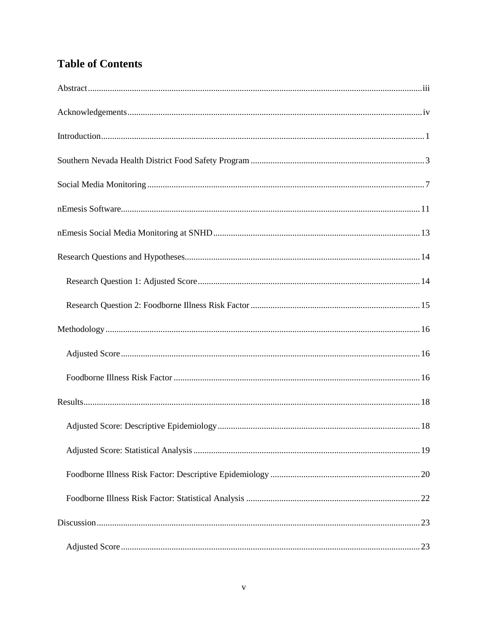## **Table of Contents**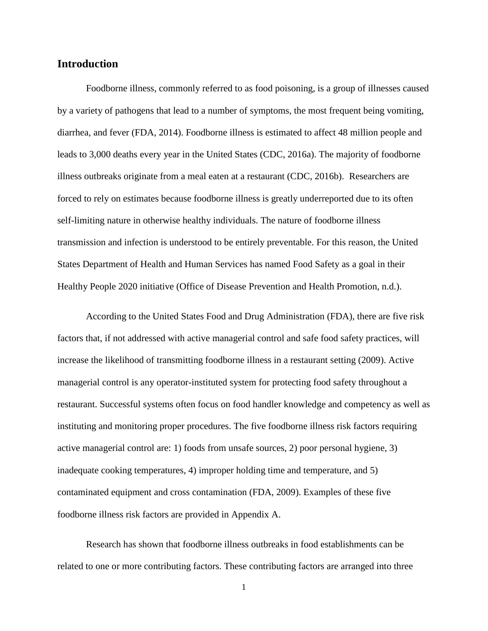#### <span id="page-7-0"></span>**Introduction**

Foodborne illness, commonly referred to as food poisoning, is a group of illnesses caused by a variety of pathogens that lead to a number of symptoms, the most frequent being vomiting, diarrhea, and fever (FDA, 2014). Foodborne illness is estimated to affect 48 million people and leads to 3,000 deaths every year in the United States (CDC, 2016a). The majority of foodborne illness outbreaks originate from a meal eaten at a restaurant (CDC, 2016b). Researchers are forced to rely on estimates because foodborne illness is greatly underreported due to its often self-limiting nature in otherwise healthy individuals. The nature of foodborne illness transmission and infection is understood to be entirely preventable. For this reason, the United States Department of Health and Human Services has named Food Safety as a goal in their Healthy People 2020 initiative (Office of Disease Prevention and Health Promotion, n.d.).

According to the United States Food and Drug Administration (FDA), there are five risk factors that, if not addressed with active managerial control and safe food safety practices, will increase the likelihood of transmitting foodborne illness in a restaurant setting (2009). Active managerial control is any operator-instituted system for protecting food safety throughout a restaurant. Successful systems often focus on food handler knowledge and competency as well as instituting and monitoring proper procedures. The five foodborne illness risk factors requiring active managerial control are: 1) foods from unsafe sources, 2) poor personal hygiene, 3) inadequate cooking temperatures, 4) improper holding time and temperature, and 5) contaminated equipment and cross contamination (FDA, 2009). Examples of these five foodborne illness risk factors are provided in Appendix A.

Research has shown that foodborne illness outbreaks in food establishments can be related to one or more contributing factors. These contributing factors are arranged into three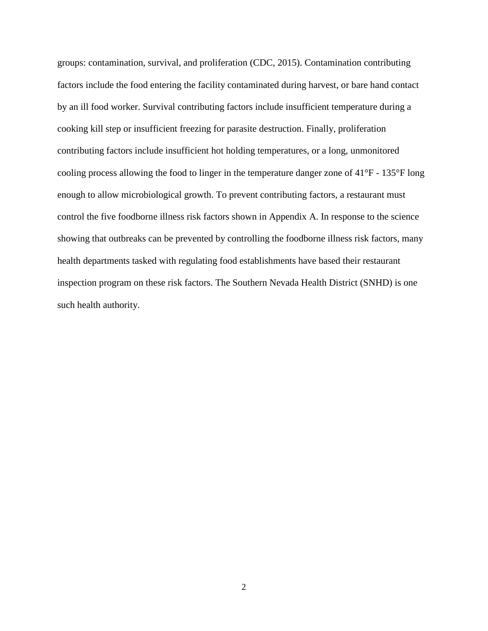groups: contamination, survival, and proliferation (CDC, 2015). Contamination contributing factors include the food entering the facility contaminated during harvest, or bare hand contact by an ill food worker. Survival contributing factors include insufficient temperature during a cooking kill step or insufficient freezing for parasite destruction. Finally, proliferation contributing factors include insufficient hot holding temperatures, or a long, unmonitored cooling process allowing the food to linger in the temperature danger zone of 41°F - 135°F long enough to allow microbiological growth. To prevent contributing factors, a restaurant must control the five foodborne illness risk factors shown in Appendix A. In response to the science showing that outbreaks can be prevented by controlling the foodborne illness risk factors, many health departments tasked with regulating food establishments have based their restaurant inspection program on these risk factors. The Southern Nevada Health District (SNHD) is one such health authority.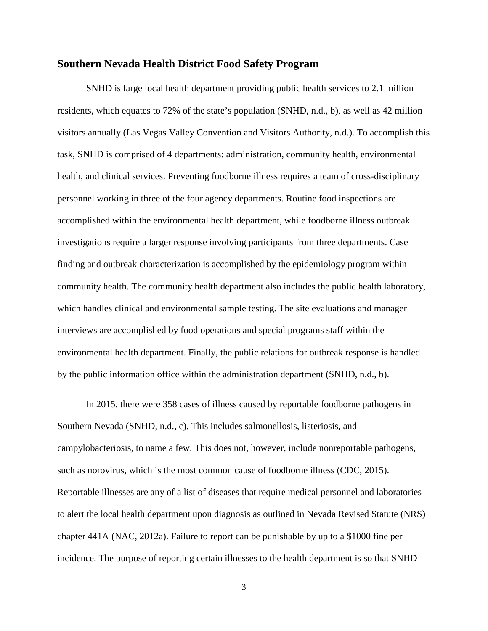#### <span id="page-9-0"></span>**Southern Nevada Health District Food Safety Program**

SNHD is large local health department providing public health services to 2.1 million residents, which equates to 72% of the state's population (SNHD, n.d., b), as well as 42 million visitors annually (Las Vegas Valley Convention and Visitors Authority, n.d.). To accomplish this task, SNHD is comprised of 4 departments: administration, community health, environmental health, and clinical services. Preventing foodborne illness requires a team of cross-disciplinary personnel working in three of the four agency departments. Routine food inspections are accomplished within the environmental health department, while foodborne illness outbreak investigations require a larger response involving participants from three departments. Case finding and outbreak characterization is accomplished by the epidemiology program within community health. The community health department also includes the public health laboratory, which handles clinical and environmental sample testing. The site evaluations and manager interviews are accomplished by food operations and special programs staff within the environmental health department. Finally, the public relations for outbreak response is handled by the public information office within the administration department (SNHD, n.d., b).

In 2015, there were 358 cases of illness caused by reportable foodborne pathogens in Southern Nevada (SNHD, n.d., c). This includes salmonellosis, listeriosis, and campylobacteriosis, to name a few. This does not, however, include nonreportable pathogens, such as norovirus, which is the most common cause of foodborne illness (CDC, 2015). Reportable illnesses are any of a list of diseases that require medical personnel and laboratories to alert the local health department upon diagnosis as outlined in Nevada Revised Statute (NRS) chapter 441A (NAC, 2012a). Failure to report can be punishable by up to a \$1000 fine per incidence. The purpose of reporting certain illnesses to the health department is so that SNHD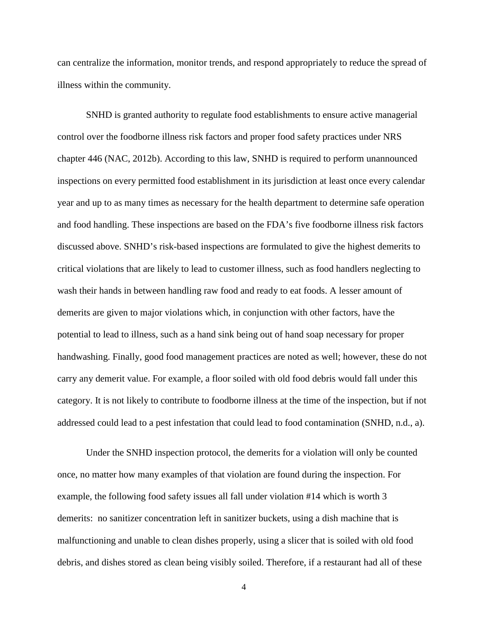can centralize the information, monitor trends, and respond appropriately to reduce the spread of illness within the community.

SNHD is granted authority to regulate food establishments to ensure active managerial control over the foodborne illness risk factors and proper food safety practices under NRS chapter 446 (NAC, 2012b). According to this law, SNHD is required to perform unannounced inspections on every permitted food establishment in its jurisdiction at least once every calendar year and up to as many times as necessary for the health department to determine safe operation and food handling. These inspections are based on the FDA's five foodborne illness risk factors discussed above. SNHD's risk-based inspections are formulated to give the highest demerits to critical violations that are likely to lead to customer illness, such as food handlers neglecting to wash their hands in between handling raw food and ready to eat foods. A lesser amount of demerits are given to major violations which, in conjunction with other factors, have the potential to lead to illness, such as a hand sink being out of hand soap necessary for proper handwashing. Finally, good food management practices are noted as well; however, these do not carry any demerit value. For example, a floor soiled with old food debris would fall under this category. It is not likely to contribute to foodborne illness at the time of the inspection, but if not addressed could lead to a pest infestation that could lead to food contamination (SNHD, n.d., a).

Under the SNHD inspection protocol, the demerits for a violation will only be counted once, no matter how many examples of that violation are found during the inspection. For example, the following food safety issues all fall under violation #14 which is worth 3 demerits: no sanitizer concentration left in sanitizer buckets, using a dish machine that is malfunctioning and unable to clean dishes properly, using a slicer that is soiled with old food debris, and dishes stored as clean being visibly soiled. Therefore, if a restaurant had all of these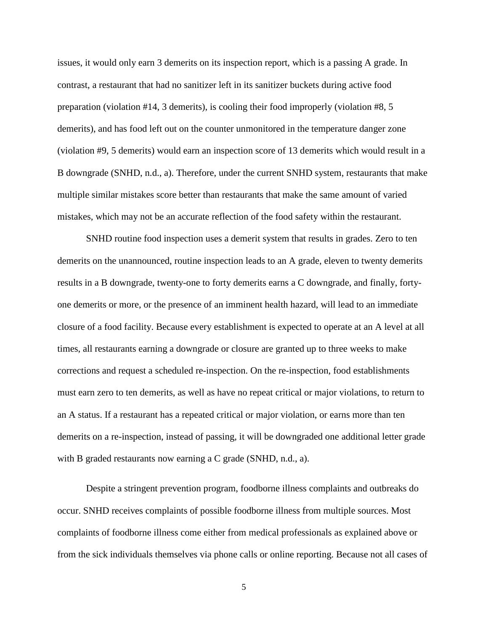issues, it would only earn 3 demerits on its inspection report, which is a passing A grade. In contrast, a restaurant that had no sanitizer left in its sanitizer buckets during active food preparation (violation #14, 3 demerits), is cooling their food improperly (violation #8, 5 demerits), and has food left out on the counter unmonitored in the temperature danger zone (violation #9, 5 demerits) would earn an inspection score of 13 demerits which would result in a B downgrade (SNHD, n.d., a). Therefore, under the current SNHD system, restaurants that make multiple similar mistakes score better than restaurants that make the same amount of varied mistakes, which may not be an accurate reflection of the food safety within the restaurant.

SNHD routine food inspection uses a demerit system that results in grades. Zero to ten demerits on the unannounced, routine inspection leads to an A grade, eleven to twenty demerits results in a B downgrade, twenty-one to forty demerits earns a C downgrade, and finally, fortyone demerits or more, or the presence of an imminent health hazard, will lead to an immediate closure of a food facility. Because every establishment is expected to operate at an A level at all times, all restaurants earning a downgrade or closure are granted up to three weeks to make corrections and request a scheduled re-inspection. On the re-inspection, food establishments must earn zero to ten demerits, as well as have no repeat critical or major violations, to return to an A status. If a restaurant has a repeated critical or major violation, or earns more than ten demerits on a re-inspection, instead of passing, it will be downgraded one additional letter grade with B graded restaurants now earning a C grade (SNHD, n.d., a).

Despite a stringent prevention program, foodborne illness complaints and outbreaks do occur. SNHD receives complaints of possible foodborne illness from multiple sources. Most complaints of foodborne illness come either from medical professionals as explained above or from the sick individuals themselves via phone calls or online reporting. Because not all cases of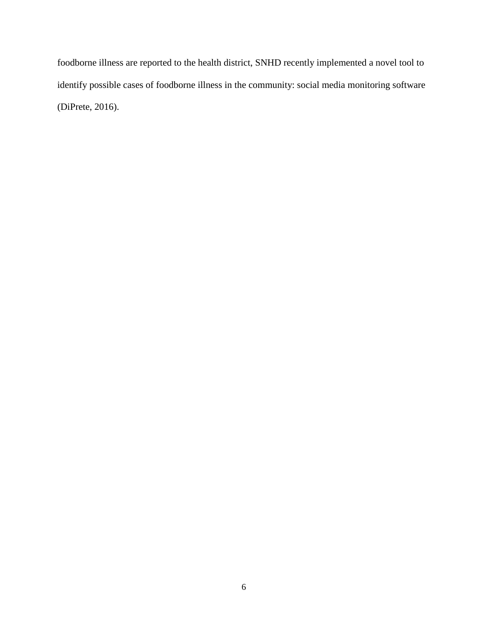foodborne illness are reported to the health district, SNHD recently implemented a novel tool to identify possible cases of foodborne illness in the community: social media monitoring software (DiPrete, 2016).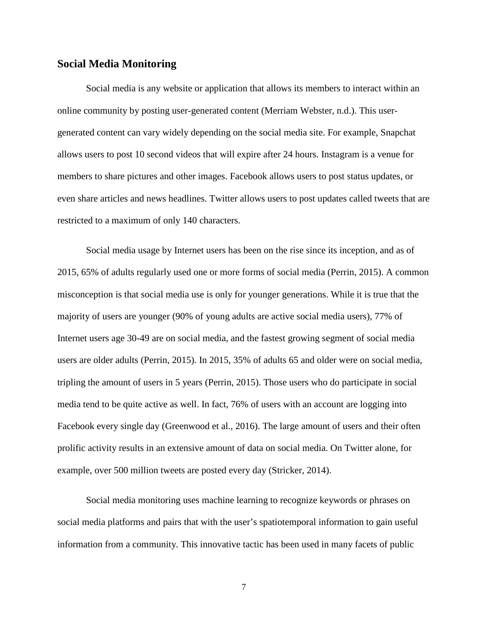#### <span id="page-13-0"></span>**Social Media Monitoring**

Social media is any website or application that allows its members to interact within an online community by posting user-generated content (Merriam Webster, n.d.). This usergenerated content can vary widely depending on the social media site. For example, Snapchat allows users to post 10 second videos that will expire after 24 hours. Instagram is a venue for members to share pictures and other images. Facebook allows users to post status updates, or even share articles and news headlines. Twitter allows users to post updates called tweets that are restricted to a maximum of only 140 characters.

Social media usage by Internet users has been on the rise since its inception, and as of 2015, 65% of adults regularly used one or more forms of social media (Perrin, 2015). A common misconception is that social media use is only for younger generations. While it is true that the majority of users are younger (90% of young adults are active social media users), 77% of Internet users age 30-49 are on social media, and the fastest growing segment of social media users are older adults (Perrin, 2015). In 2015, 35% of adults 65 and older were on social media, tripling the amount of users in 5 years (Perrin, 2015). Those users who do participate in social media tend to be quite active as well. In fact, 76% of users with an account are logging into Facebook every single day (Greenwood et al., 2016). The large amount of users and their often prolific activity results in an extensive amount of data on social media. On Twitter alone, for example, over 500 million tweets are posted every day (Stricker, 2014).

Social media monitoring uses machine learning to recognize keywords or phrases on social media platforms and pairs that with the user's spatiotemporal information to gain useful information from a community. This innovative tactic has been used in many facets of public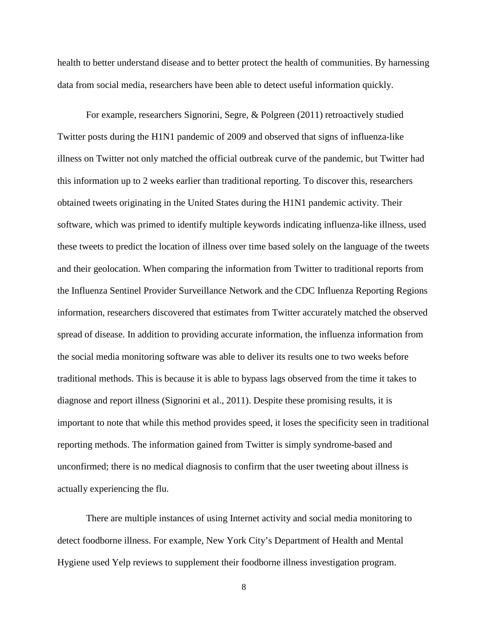health to better understand disease and to better protect the health of communities. By harnessing data from social media, researchers have been able to detect useful information quickly.

For example, researchers Signorini, Segre, & Polgreen (2011) retroactively studied Twitter posts during the H1N1 pandemic of 2009 and observed that signs of influenza-like illness on Twitter not only matched the official outbreak curve of the pandemic, but Twitter had this information up to 2 weeks earlier than traditional reporting. To discover this, researchers obtained tweets originating in the United States during the H1N1 pandemic activity. Their software, which was primed to identify multiple keywords indicating influenza-like illness, used these tweets to predict the location of illness over time based solely on the language of the tweets and their geolocation. When comparing the information from Twitter to traditional reports from the Influenza Sentinel Provider Surveillance Network and the CDC Influenza Reporting Regions information, researchers discovered that estimates from Twitter accurately matched the observed spread of disease. In addition to providing accurate information, the influenza information from the social media monitoring software was able to deliver its results one to two weeks before traditional methods. This is because it is able to bypass lags observed from the time it takes to diagnose and report illness (Signorini et al., 2011). Despite these promising results, it is important to note that while this method provides speed, it loses the specificity seen in traditional reporting methods. The information gained from Twitter is simply syndrome-based and unconfirmed; there is no medical diagnosis to confirm that the user tweeting about illness is actually experiencing the flu.

There are multiple instances of using Internet activity and social media monitoring to detect foodborne illness. For example, New York City's Department of Health and Mental Hygiene used Yelp reviews to supplement their foodborne illness investigation program.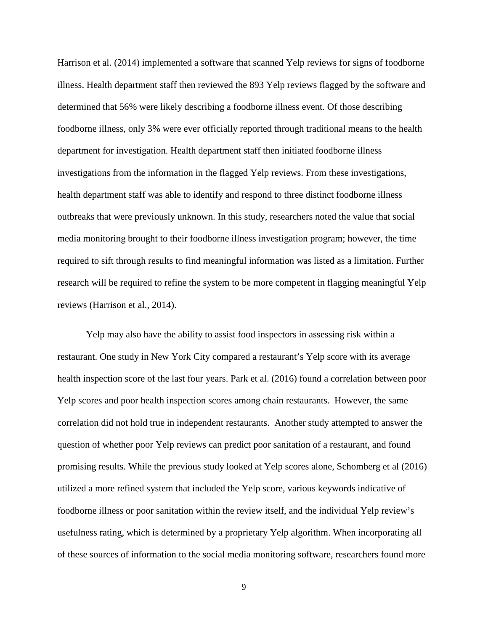Harrison et al. (2014) implemented a software that scanned Yelp reviews for signs of foodborne illness. Health department staff then reviewed the 893 Yelp reviews flagged by the software and determined that 56% were likely describing a foodborne illness event. Of those describing foodborne illness, only 3% were ever officially reported through traditional means to the health department for investigation. Health department staff then initiated foodborne illness investigations from the information in the flagged Yelp reviews. From these investigations, health department staff was able to identify and respond to three distinct foodborne illness outbreaks that were previously unknown. In this study, researchers noted the value that social media monitoring brought to their foodborne illness investigation program; however, the time required to sift through results to find meaningful information was listed as a limitation. Further research will be required to refine the system to be more competent in flagging meaningful Yelp reviews (Harrison et al., 2014).

Yelp may also have the ability to assist food inspectors in assessing risk within a restaurant. One study in New York City compared a restaurant's Yelp score with its average health inspection score of the last four years. Park et al. (2016) found a correlation between poor Yelp scores and poor health inspection scores among chain restaurants. However, the same correlation did not hold true in independent restaurants. Another study attempted to answer the question of whether poor Yelp reviews can predict poor sanitation of a restaurant, and found promising results. While the previous study looked at Yelp scores alone, Schomberg et al (2016) utilized a more refined system that included the Yelp score, various keywords indicative of foodborne illness or poor sanitation within the review itself, and the individual Yelp review's usefulness rating, which is determined by a proprietary Yelp algorithm. When incorporating all of these sources of information to the social media monitoring software, researchers found more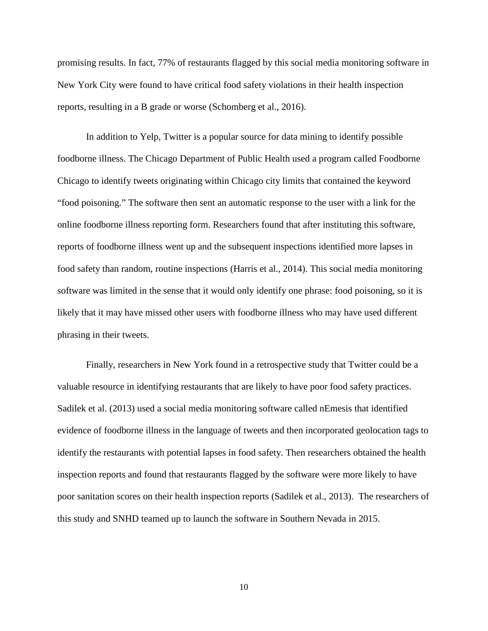promising results. In fact, 77% of restaurants flagged by this social media monitoring software in New York City were found to have critical food safety violations in their health inspection reports, resulting in a B grade or worse (Schomberg et al., 2016).

In addition to Yelp, Twitter is a popular source for data mining to identify possible foodborne illness. The Chicago Department of Public Health used a program called Foodborne Chicago to identify tweets originating within Chicago city limits that contained the keyword "food poisoning." The software then sent an automatic response to the user with a link for the online foodborne illness reporting form. Researchers found that after instituting this software, reports of foodborne illness went up and the subsequent inspections identified more lapses in food safety than random, routine inspections (Harris et al., 2014). This social media monitoring software was limited in the sense that it would only identify one phrase: food poisoning, so it is likely that it may have missed other users with foodborne illness who may have used different phrasing in their tweets.

Finally, researchers in New York found in a retrospective study that Twitter could be a valuable resource in identifying restaurants that are likely to have poor food safety practices. Sadilek et al. (2013) used a social media monitoring software called nEmesis that identified evidence of foodborne illness in the language of tweets and then incorporated geolocation tags to identify the restaurants with potential lapses in food safety. Then researchers obtained the health inspection reports and found that restaurants flagged by the software were more likely to have poor sanitation scores on their health inspection reports (Sadilek et al., 2013). The researchers of this study and SNHD teamed up to launch the software in Southern Nevada in 2015.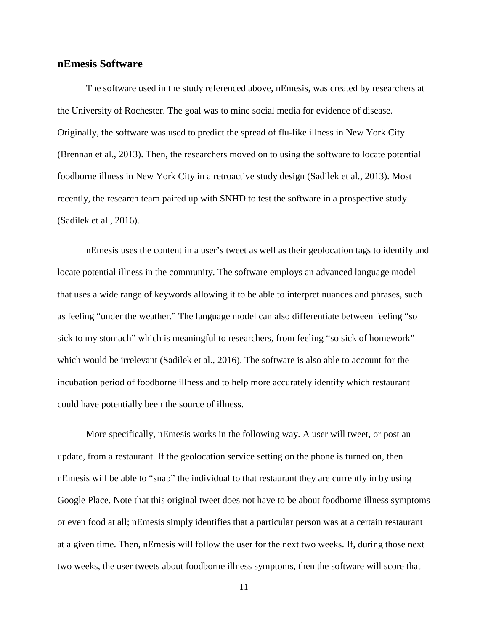#### <span id="page-17-0"></span>**nEmesis Software**

The software used in the study referenced above, nEmesis, was created by researchers at the University of Rochester. The goal was to mine social media for evidence of disease. Originally, the software was used to predict the spread of flu-like illness in New York City (Brennan et al., 2013). Then, the researchers moved on to using the software to locate potential foodborne illness in New York City in a retroactive study design (Sadilek et al., 2013). Most recently, the research team paired up with SNHD to test the software in a prospective study (Sadilek et al., 2016).

nEmesis uses the content in a user's tweet as well as their geolocation tags to identify and locate potential illness in the community. The software employs an advanced language model that uses a wide range of keywords allowing it to be able to interpret nuances and phrases, such as feeling "under the weather." The language model can also differentiate between feeling "so sick to my stomach" which is meaningful to researchers, from feeling "so sick of homework" which would be irrelevant (Sadilek et al., 2016). The software is also able to account for the incubation period of foodborne illness and to help more accurately identify which restaurant could have potentially been the source of illness.

More specifically, nEmesis works in the following way. A user will tweet, or post an update, from a restaurant. If the geolocation service setting on the phone is turned on, then nEmesis will be able to "snap" the individual to that restaurant they are currently in by using Google Place. Note that this original tweet does not have to be about foodborne illness symptoms or even food at all; nEmesis simply identifies that a particular person was at a certain restaurant at a given time. Then, nEmesis will follow the user for the next two weeks. If, during those next two weeks, the user tweets about foodborne illness symptoms, then the software will score that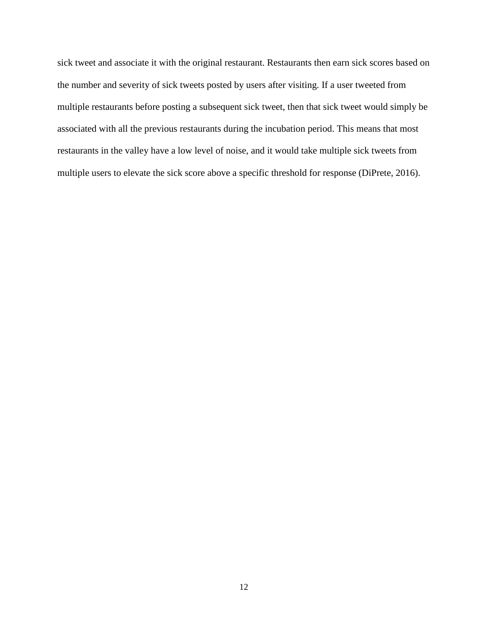sick tweet and associate it with the original restaurant. Restaurants then earn sick scores based on the number and severity of sick tweets posted by users after visiting. If a user tweeted from multiple restaurants before posting a subsequent sick tweet, then that sick tweet would simply be associated with all the previous restaurants during the incubation period. This means that most restaurants in the valley have a low level of noise, and it would take multiple sick tweets from multiple users to elevate the sick score above a specific threshold for response (DiPrete, 2016).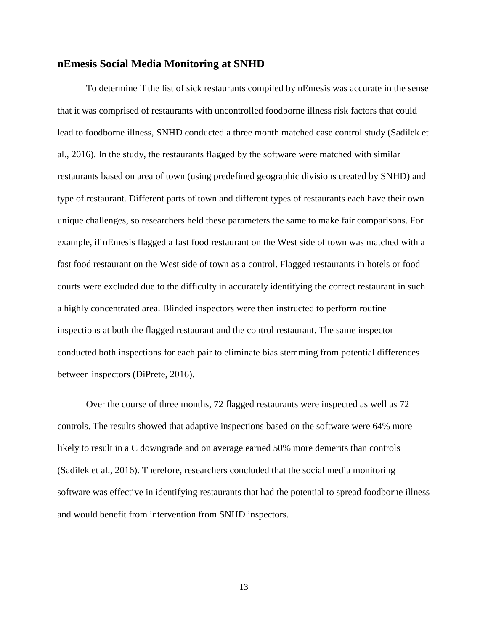#### <span id="page-19-0"></span>**nEmesis Social Media Monitoring at SNHD**

To determine if the list of sick restaurants compiled by nEmesis was accurate in the sense that it was comprised of restaurants with uncontrolled foodborne illness risk factors that could lead to foodborne illness, SNHD conducted a three month matched case control study (Sadilek et al., 2016). In the study, the restaurants flagged by the software were matched with similar restaurants based on area of town (using predefined geographic divisions created by SNHD) and type of restaurant. Different parts of town and different types of restaurants each have their own unique challenges, so researchers held these parameters the same to make fair comparisons. For example, if nEmesis flagged a fast food restaurant on the West side of town was matched with a fast food restaurant on the West side of town as a control. Flagged restaurants in hotels or food courts were excluded due to the difficulty in accurately identifying the correct restaurant in such a highly concentrated area. Blinded inspectors were then instructed to perform routine inspections at both the flagged restaurant and the control restaurant. The same inspector conducted both inspections for each pair to eliminate bias stemming from potential differences between inspectors (DiPrete, 2016).

Over the course of three months, 72 flagged restaurants were inspected as well as 72 controls. The results showed that adaptive inspections based on the software were 64% more likely to result in a C downgrade and on average earned 50% more demerits than controls (Sadilek et al., 2016). Therefore, researchers concluded that the social media monitoring software was effective in identifying restaurants that had the potential to spread foodborne illness and would benefit from intervention from SNHD inspectors.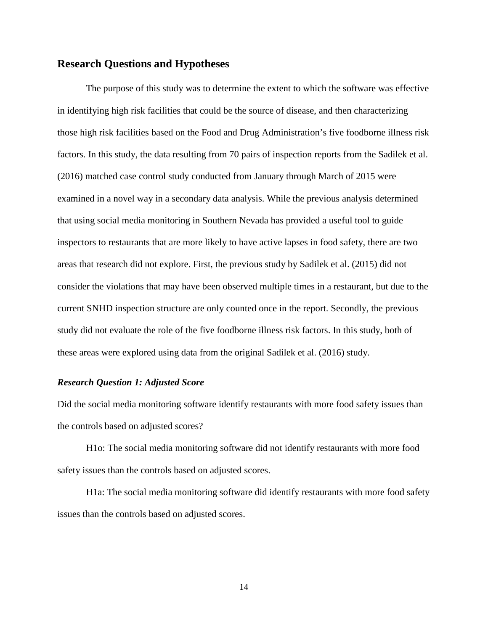#### <span id="page-20-0"></span>**Research Questions and Hypotheses**

The purpose of this study was to determine the extent to which the software was effective in identifying high risk facilities that could be the source of disease, and then characterizing those high risk facilities based on the Food and Drug Administration's five foodborne illness risk factors. In this study, the data resulting from 70 pairs of inspection reports from the Sadilek et al. (2016) matched case control study conducted from January through March of 2015 were examined in a novel way in a secondary data analysis. While the previous analysis determined that using social media monitoring in Southern Nevada has provided a useful tool to guide inspectors to restaurants that are more likely to have active lapses in food safety, there are two areas that research did not explore. First, the previous study by Sadilek et al. (2015) did not consider the violations that may have been observed multiple times in a restaurant, but due to the current SNHD inspection structure are only counted once in the report. Secondly, the previous study did not evaluate the role of the five foodborne illness risk factors. In this study, both of these areas were explored using data from the original Sadilek et al. (2016) study.

#### <span id="page-20-1"></span>*Research Question 1: Adjusted Score*

Did the social media monitoring software identify restaurants with more food safety issues than the controls based on adjusted scores?

H1o: The social media monitoring software did not identify restaurants with more food safety issues than the controls based on adjusted scores.

H1a: The social media monitoring software did identify restaurants with more food safety issues than the controls based on adjusted scores.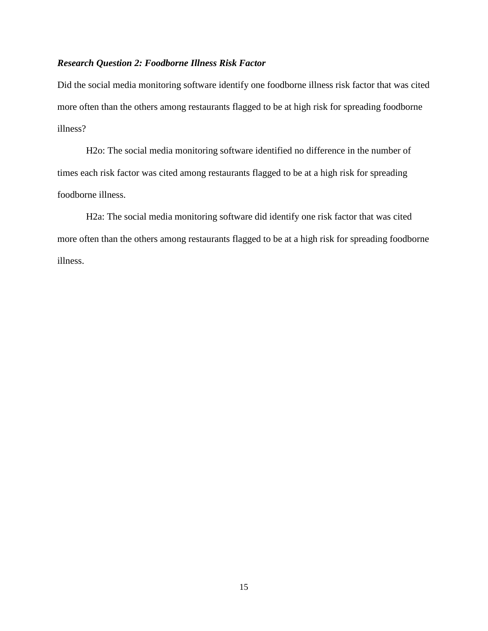#### <span id="page-21-0"></span>*Research Question 2: Foodborne Illness Risk Factor*

Did the social media monitoring software identify one foodborne illness risk factor that was cited more often than the others among restaurants flagged to be at high risk for spreading foodborne illness?

H2o: The social media monitoring software identified no difference in the number of times each risk factor was cited among restaurants flagged to be at a high risk for spreading foodborne illness.

H2a: The social media monitoring software did identify one risk factor that was cited more often than the others among restaurants flagged to be at a high risk for spreading foodborne illness.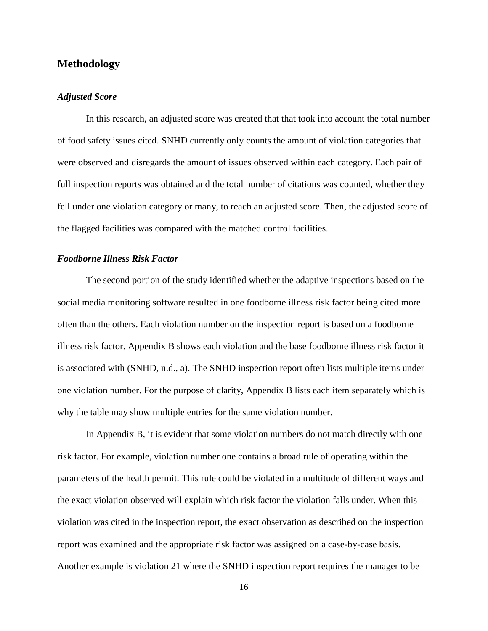#### <span id="page-22-0"></span>**Methodology**

#### <span id="page-22-1"></span>*Adjusted Score*

In this research, an adjusted score was created that that took into account the total number of food safety issues cited. SNHD currently only counts the amount of violation categories that were observed and disregards the amount of issues observed within each category. Each pair of full inspection reports was obtained and the total number of citations was counted, whether they fell under one violation category or many, to reach an adjusted score. Then, the adjusted score of the flagged facilities was compared with the matched control facilities.

#### <span id="page-22-2"></span>*Foodborne Illness Risk Factor*

The second portion of the study identified whether the adaptive inspections based on the social media monitoring software resulted in one foodborne illness risk factor being cited more often than the others. Each violation number on the inspection report is based on a foodborne illness risk factor. Appendix B shows each violation and the base foodborne illness risk factor it is associated with (SNHD, n.d., a). The SNHD inspection report often lists multiple items under one violation number. For the purpose of clarity, Appendix B lists each item separately which is why the table may show multiple entries for the same violation number.

In Appendix B, it is evident that some violation numbers do not match directly with one risk factor. For example, violation number one contains a broad rule of operating within the parameters of the health permit. This rule could be violated in a multitude of different ways and the exact violation observed will explain which risk factor the violation falls under. When this violation was cited in the inspection report, the exact observation as described on the inspection report was examined and the appropriate risk factor was assigned on a case-by-case basis. Another example is violation 21 where the SNHD inspection report requires the manager to be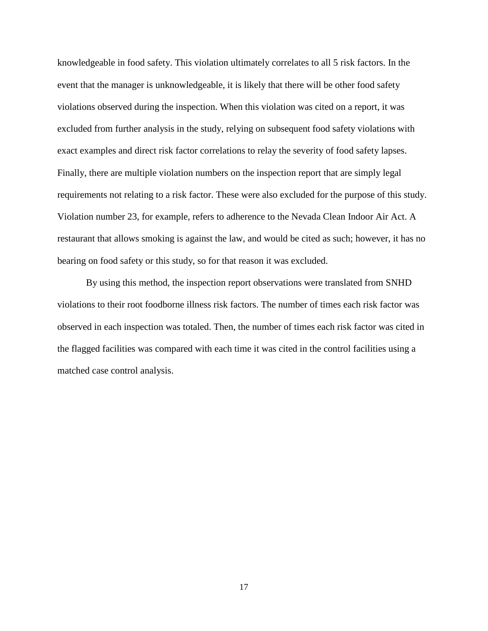knowledgeable in food safety. This violation ultimately correlates to all 5 risk factors. In the event that the manager is unknowledgeable, it is likely that there will be other food safety violations observed during the inspection. When this violation was cited on a report, it was excluded from further analysis in the study, relying on subsequent food safety violations with exact examples and direct risk factor correlations to relay the severity of food safety lapses. Finally, there are multiple violation numbers on the inspection report that are simply legal requirements not relating to a risk factor. These were also excluded for the purpose of this study. Violation number 23, for example, refers to adherence to the Nevada Clean Indoor Air Act. A restaurant that allows smoking is against the law, and would be cited as such; however, it has no bearing on food safety or this study, so for that reason it was excluded.

By using this method, the inspection report observations were translated from SNHD violations to their root foodborne illness risk factors. The number of times each risk factor was observed in each inspection was totaled. Then, the number of times each risk factor was cited in the flagged facilities was compared with each time it was cited in the control facilities using a matched case control analysis.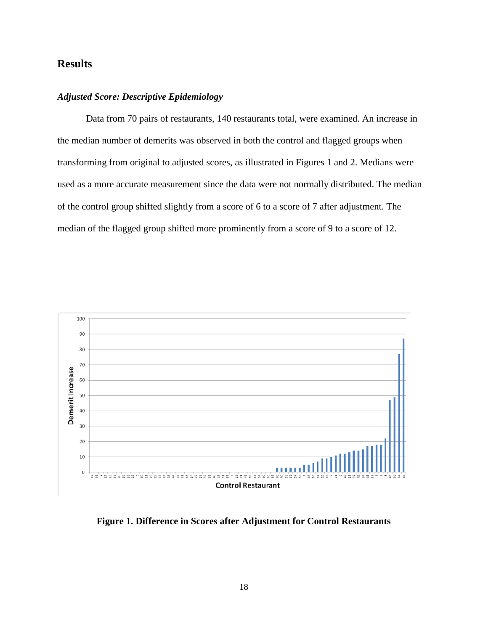## <span id="page-24-0"></span>**Results**

#### <span id="page-24-1"></span>*Adjusted Score: Descriptive Epidemiology*

Data from 70 pairs of restaurants, 140 restaurants total, were examined. An increase in the median number of demerits was observed in both the control and flagged groups when transforming from original to adjusted scores, as illustrated in Figures 1 and 2. Medians were used as a more accurate measurement since the data were not normally distributed. The median of the control group shifted slightly from a score of 6 to a score of 7 after adjustment. The median of the flagged group shifted more prominently from a score of 9 to a score of 12.



**Figure 1. Difference in Scores after Adjustment for Control Restaurants**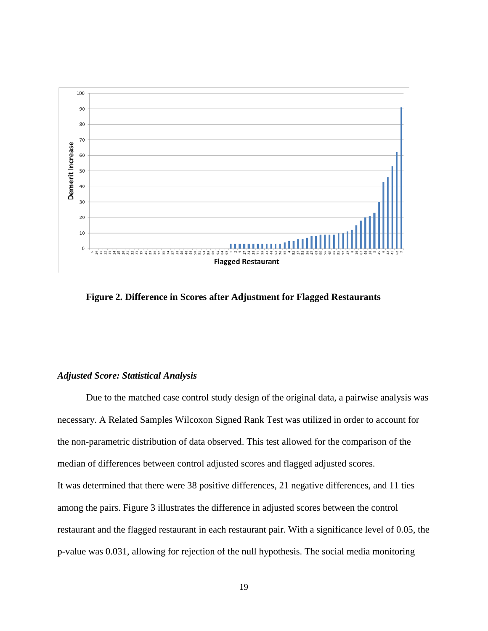

**Figure 2. Difference in Scores after Adjustment for Flagged Restaurants**

#### <span id="page-25-0"></span>*Adjusted Score: Statistical Analysis*

Due to the matched case control study design of the original data, a pairwise analysis was necessary. A Related Samples Wilcoxon Signed Rank Test was utilized in order to account for the non-parametric distribution of data observed. This test allowed for the comparison of the median of differences between control adjusted scores and flagged adjusted scores. It was determined that there were 38 positive differences, 21 negative differences, and 11 ties among the pairs. Figure 3 illustrates the difference in adjusted scores between the control restaurant and the flagged restaurant in each restaurant pair. With a significance level of 0.05, the p-value was 0.031, allowing for rejection of the null hypothesis. The social media monitoring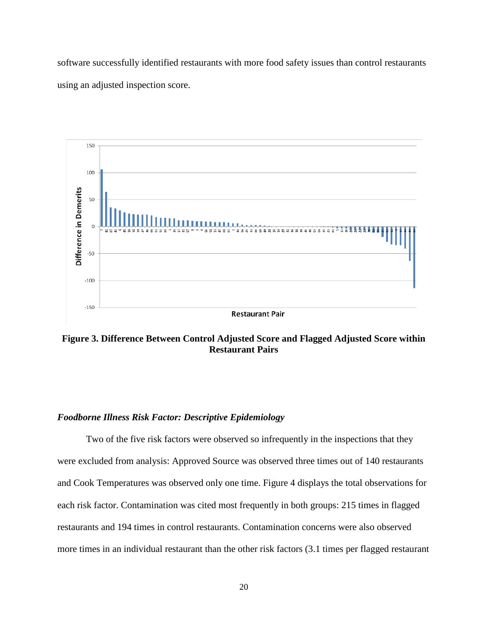software successfully identified restaurants with more food safety issues than control restaurants using an adjusted inspection score.



**Figure 3. Difference Between Control Adjusted Score and Flagged Adjusted Score within Restaurant Pairs**

#### <span id="page-26-0"></span>*Foodborne Illness Risk Factor: Descriptive Epidemiology*

Two of the five risk factors were observed so infrequently in the inspections that they were excluded from analysis: Approved Source was observed three times out of 140 restaurants and Cook Temperatures was observed only one time. Figure 4 displays the total observations for each risk factor. Contamination was cited most frequently in both groups: 215 times in flagged restaurants and 194 times in control restaurants. Contamination concerns were also observed more times in an individual restaurant than the other risk factors (3.1 times per flagged restaurant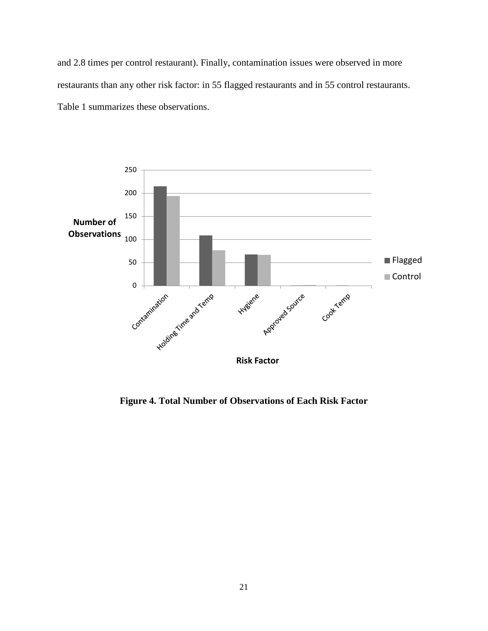and 2.8 times per control restaurant). Finally, contamination issues were observed in more restaurants than any other risk factor: in 55 flagged restaurants and in 55 control restaurants. Table 1 summarizes these observations.



**Figure 4. Total Number of Observations of Each Risk Factor**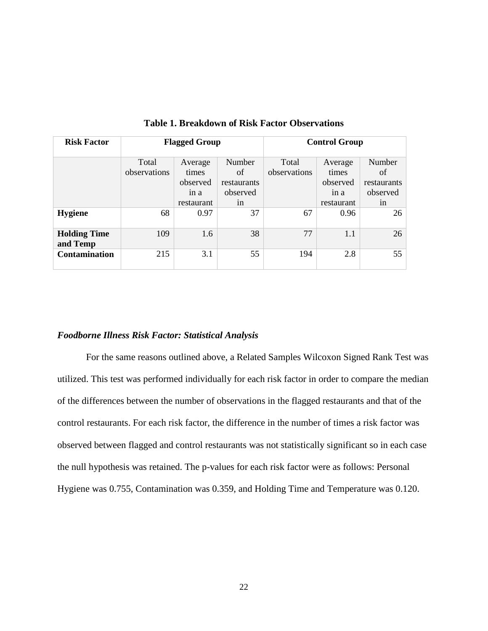| <b>Risk Factor</b>              | <b>Flagged Group</b>  |                                      | <b>Control Group</b>                    |                       |                                      |                                         |
|---------------------------------|-----------------------|--------------------------------------|-----------------------------------------|-----------------------|--------------------------------------|-----------------------------------------|
|                                 | Total<br>observations | Average<br>times<br>observed<br>1n a | Number<br>of<br>restaurants<br>observed | Total<br>observations | Average<br>times<br>observed<br>in a | Number<br>of<br>restaurants<br>observed |
|                                 |                       | restaurant                           | 1n                                      |                       | restaurant                           | 1n                                      |
| <b>Hygiene</b>                  | 68                    | 0.97                                 | 37                                      | 67                    | 0.96                                 | 26                                      |
| <b>Holding Time</b><br>and Temp | 109                   | 1.6                                  | 38                                      | 77                    | 1.1                                  | 26                                      |
| <b>Contamination</b>            | 215                   | 3.1                                  | 55                                      | 194                   | 2.8                                  | 55                                      |

**Table 1. Breakdown of Risk Factor Observations**

#### <span id="page-28-0"></span>*Foodborne Illness Risk Factor: Statistical Analysis*

For the same reasons outlined above, a Related Samples Wilcoxon Signed Rank Test was utilized. This test was performed individually for each risk factor in order to compare the median of the differences between the number of observations in the flagged restaurants and that of the control restaurants. For each risk factor, the difference in the number of times a risk factor was observed between flagged and control restaurants was not statistically significant so in each case the null hypothesis was retained. The p-values for each risk factor were as follows: Personal Hygiene was 0.755, Contamination was 0.359, and Holding Time and Temperature was 0.120.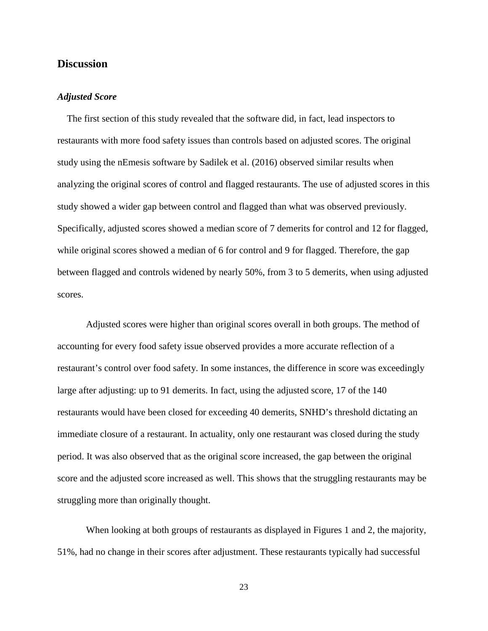#### <span id="page-29-0"></span>**Discussion**

#### <span id="page-29-1"></span>*Adjusted Score*

The first section of this study revealed that the software did, in fact, lead inspectors to restaurants with more food safety issues than controls based on adjusted scores. The original study using the nEmesis software by Sadilek et al. (2016) observed similar results when analyzing the original scores of control and flagged restaurants. The use of adjusted scores in this study showed a wider gap between control and flagged than what was observed previously. Specifically, adjusted scores showed a median score of 7 demerits for control and 12 for flagged, while original scores showed a median of 6 for control and 9 for flagged. Therefore, the gap between flagged and controls widened by nearly 50%, from 3 to 5 demerits, when using adjusted scores.

Adjusted scores were higher than original scores overall in both groups. The method of accounting for every food safety issue observed provides a more accurate reflection of a restaurant's control over food safety. In some instances, the difference in score was exceedingly large after adjusting: up to 91 demerits. In fact, using the adjusted score, 17 of the 140 restaurants would have been closed for exceeding 40 demerits, SNHD's threshold dictating an immediate closure of a restaurant. In actuality, only one restaurant was closed during the study period. It was also observed that as the original score increased, the gap between the original score and the adjusted score increased as well. This shows that the struggling restaurants may be struggling more than originally thought.

When looking at both groups of restaurants as displayed in Figures 1 and 2, the majority, 51%, had no change in their scores after adjustment. These restaurants typically had successful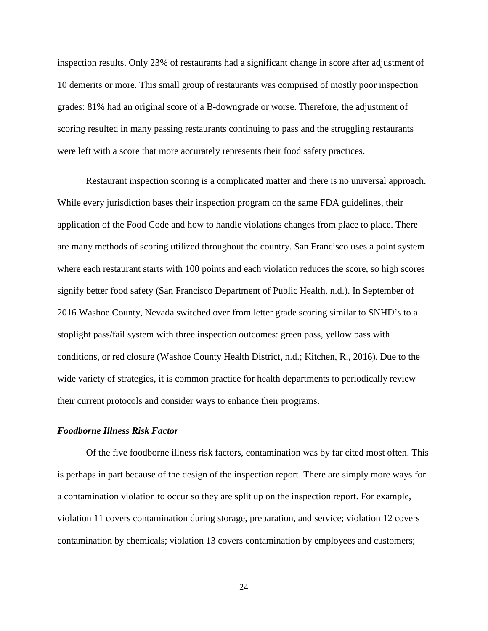inspection results. Only 23% of restaurants had a significant change in score after adjustment of 10 demerits or more. This small group of restaurants was comprised of mostly poor inspection grades: 81% had an original score of a B-downgrade or worse. Therefore, the adjustment of scoring resulted in many passing restaurants continuing to pass and the struggling restaurants were left with a score that more accurately represents their food safety practices.

Restaurant inspection scoring is a complicated matter and there is no universal approach. While every jurisdiction bases their inspection program on the same FDA guidelines, their application of the Food Code and how to handle violations changes from place to place. There are many methods of scoring utilized throughout the country. San Francisco uses a point system where each restaurant starts with 100 points and each violation reduces the score, so high scores signify better food safety (San Francisco Department of Public Health, n.d.). In September of 2016 Washoe County, Nevada switched over from letter grade scoring similar to SNHD's to a stoplight pass/fail system with three inspection outcomes: green pass, yellow pass with conditions, or red closure (Washoe County Health District, n.d.; Kitchen, R., 2016). Due to the wide variety of strategies, it is common practice for health departments to periodically review their current protocols and consider ways to enhance their programs.

#### <span id="page-30-0"></span>*Foodborne Illness Risk Factor*

Of the five foodborne illness risk factors, contamination was by far cited most often. This is perhaps in part because of the design of the inspection report. There are simply more ways for a contamination violation to occur so they are split up on the inspection report. For example, violation 11 covers contamination during storage, preparation, and service; violation 12 covers contamination by chemicals; violation 13 covers contamination by employees and customers;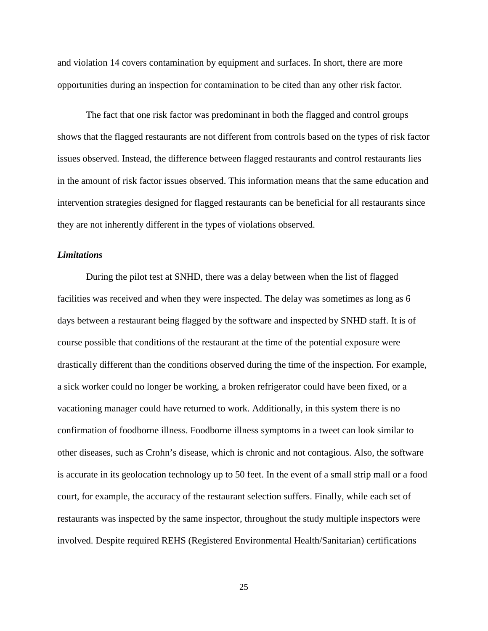and violation 14 covers contamination by equipment and surfaces. In short, there are more opportunities during an inspection for contamination to be cited than any other risk factor.

The fact that one risk factor was predominant in both the flagged and control groups shows that the flagged restaurants are not different from controls based on the types of risk factor issues observed. Instead, the difference between flagged restaurants and control restaurants lies in the amount of risk factor issues observed. This information means that the same education and intervention strategies designed for flagged restaurants can be beneficial for all restaurants since they are not inherently different in the types of violations observed.

#### <span id="page-31-0"></span>*Limitations*

During the pilot test at SNHD, there was a delay between when the list of flagged facilities was received and when they were inspected. The delay was sometimes as long as 6 days between a restaurant being flagged by the software and inspected by SNHD staff. It is of course possible that conditions of the restaurant at the time of the potential exposure were drastically different than the conditions observed during the time of the inspection. For example, a sick worker could no longer be working, a broken refrigerator could have been fixed, or a vacationing manager could have returned to work. Additionally, in this system there is no confirmation of foodborne illness. Foodborne illness symptoms in a tweet can look similar to other diseases, such as Crohn's disease, which is chronic and not contagious. Also, the software is accurate in its geolocation technology up to 50 feet. In the event of a small strip mall or a food court, for example, the accuracy of the restaurant selection suffers. Finally, while each set of restaurants was inspected by the same inspector, throughout the study multiple inspectors were involved. Despite required REHS (Registered Environmental Health/Sanitarian) certifications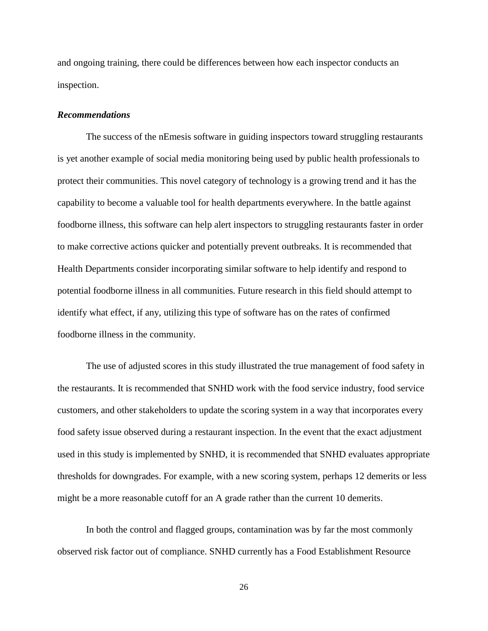and ongoing training, there could be differences between how each inspector conducts an inspection.

#### <span id="page-32-0"></span>*Recommendations*

The success of the nEmesis software in guiding inspectors toward struggling restaurants is yet another example of social media monitoring being used by public health professionals to protect their communities. This novel category of technology is a growing trend and it has the capability to become a valuable tool for health departments everywhere. In the battle against foodborne illness, this software can help alert inspectors to struggling restaurants faster in order to make corrective actions quicker and potentially prevent outbreaks. It is recommended that Health Departments consider incorporating similar software to help identify and respond to potential foodborne illness in all communities. Future research in this field should attempt to identify what effect, if any, utilizing this type of software has on the rates of confirmed foodborne illness in the community.

The use of adjusted scores in this study illustrated the true management of food safety in the restaurants. It is recommended that SNHD work with the food service industry, food service customers, and other stakeholders to update the scoring system in a way that incorporates every food safety issue observed during a restaurant inspection. In the event that the exact adjustment used in this study is implemented by SNHD, it is recommended that SNHD evaluates appropriate thresholds for downgrades. For example, with a new scoring system, perhaps 12 demerits or less might be a more reasonable cutoff for an A grade rather than the current 10 demerits.

In both the control and flagged groups, contamination was by far the most commonly observed risk factor out of compliance. SNHD currently has a Food Establishment Resource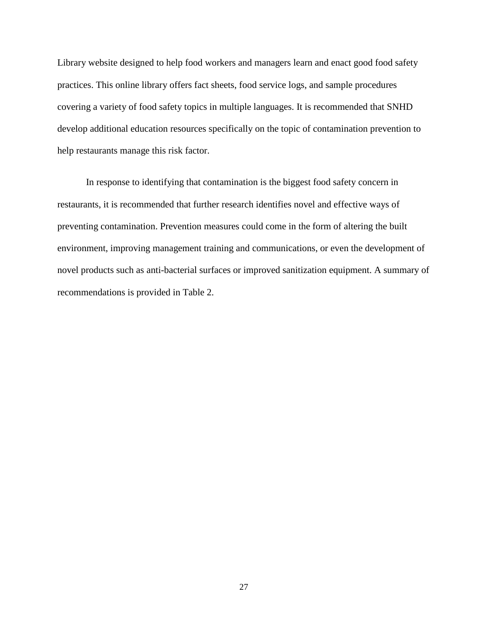Library website designed to help food workers and managers learn and enact good food safety practices. This online library offers fact sheets, food service logs, and sample procedures covering a variety of food safety topics in multiple languages. It is recommended that SNHD develop additional education resources specifically on the topic of contamination prevention to help restaurants manage this risk factor.

In response to identifying that contamination is the biggest food safety concern in restaurants, it is recommended that further research identifies novel and effective ways of preventing contamination. Prevention measures could come in the form of altering the built environment, improving management training and communications, or even the development of novel products such as anti-bacterial surfaces or improved sanitization equipment. A summary of recommendations is provided in Table 2.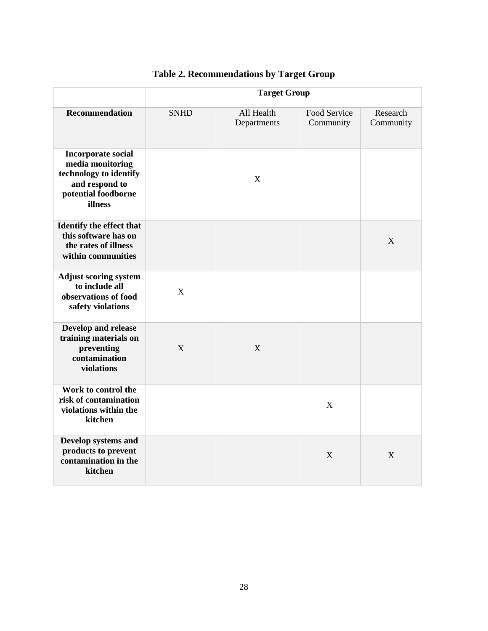|                                                                                                                             | <b>Target Group</b> |                           |                           |                       |
|-----------------------------------------------------------------------------------------------------------------------------|---------------------|---------------------------|---------------------------|-----------------------|
| <b>Recommendation</b>                                                                                                       | <b>SNHD</b>         | All Health<br>Departments | Food Service<br>Community | Research<br>Community |
| <b>Incorporate social</b><br>media monitoring<br>technology to identify<br>and respond to<br>potential foodborne<br>illness |                     | X                         |                           |                       |
| Identify the effect that<br>this software has on<br>the rates of illness<br>within communities                              |                     |                           |                           | X                     |
| <b>Adjust scoring system</b><br>to include all<br>observations of food<br>safety violations                                 | X                   |                           |                           |                       |
| Develop and release<br>training materials on<br>preventing<br>contamination<br>violations                                   | X                   | X                         |                           |                       |
| Work to control the<br>risk of contamination<br>violations within the<br>kitchen                                            |                     |                           | X                         |                       |
| Develop systems and<br>products to prevent<br>contamination in the<br>kitchen                                               |                     |                           | X                         | X                     |

## **Table 2. Recommendations by Target Group**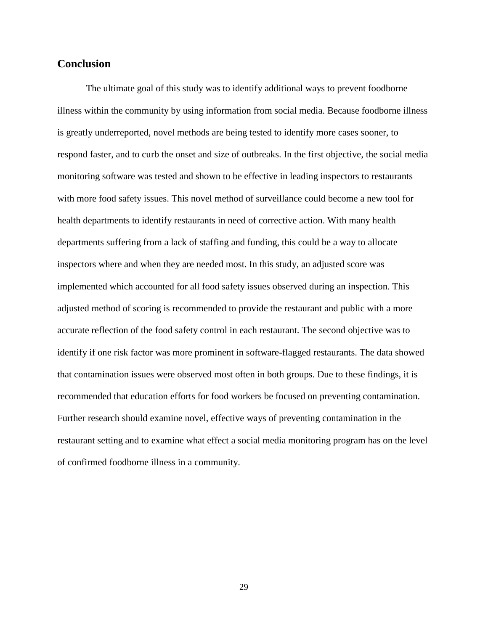#### <span id="page-35-0"></span>**Conclusion**

The ultimate goal of this study was to identify additional ways to prevent foodborne illness within the community by using information from social media. Because foodborne illness is greatly underreported, novel methods are being tested to identify more cases sooner, to respond faster, and to curb the onset and size of outbreaks. In the first objective, the social media monitoring software was tested and shown to be effective in leading inspectors to restaurants with more food safety issues. This novel method of surveillance could become a new tool for health departments to identify restaurants in need of corrective action. With many health departments suffering from a lack of staffing and funding, this could be a way to allocate inspectors where and when they are needed most. In this study, an adjusted score was implemented which accounted for all food safety issues observed during an inspection. This adjusted method of scoring is recommended to provide the restaurant and public with a more accurate reflection of the food safety control in each restaurant. The second objective was to identify if one risk factor was more prominent in software-flagged restaurants. The data showed that contamination issues were observed most often in both groups. Due to these findings, it is recommended that education efforts for food workers be focused on preventing contamination. Further research should examine novel, effective ways of preventing contamination in the restaurant setting and to examine what effect a social media monitoring program has on the level of confirmed foodborne illness in a community.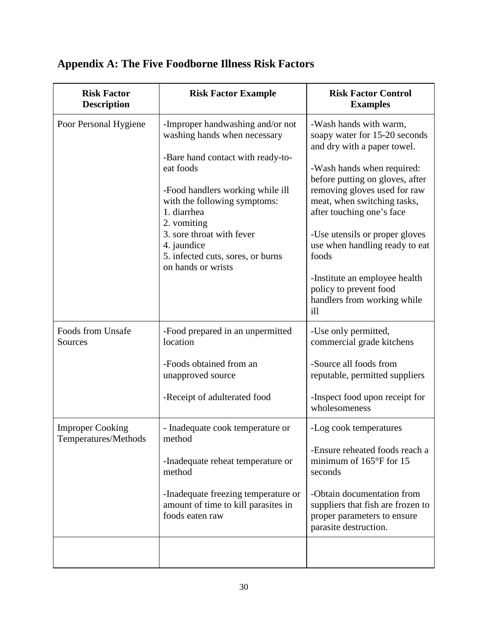| <b>Risk Factor</b><br><b>Description</b>        | <b>Risk Factor Example</b>                                                                                                                                                                                                                                                                                                  | <b>Risk Factor Control</b><br><b>Examples</b>                                                                                                                                                                                                                                                                                                                                                                                     |
|-------------------------------------------------|-----------------------------------------------------------------------------------------------------------------------------------------------------------------------------------------------------------------------------------------------------------------------------------------------------------------------------|-----------------------------------------------------------------------------------------------------------------------------------------------------------------------------------------------------------------------------------------------------------------------------------------------------------------------------------------------------------------------------------------------------------------------------------|
| Poor Personal Hygiene                           | -Improper handwashing and/or not<br>washing hands when necessary<br>-Bare hand contact with ready-to-<br>eat foods<br>-Food handlers working while ill<br>with the following symptoms:<br>1. diarrhea<br>2. vomiting<br>3. sore throat with fever<br>4. jaundice<br>5. infected cuts, sores, or burns<br>on hands or wrists | -Wash hands with warm,<br>soapy water for 15-20 seconds<br>and dry with a paper towel.<br>-Wash hands when required:<br>before putting on gloves, after<br>removing gloves used for raw<br>meat, when switching tasks,<br>after touching one's face<br>-Use utensils or proper gloves<br>use when handling ready to eat<br>foods<br>-Institute an employee health<br>policy to prevent food<br>handlers from working while<br>ill |
| <b>Foods from Unsafe</b><br>Sources             | -Food prepared in an unpermitted<br>location<br>-Foods obtained from an<br>unapproved source<br>-Receipt of adulterated food                                                                                                                                                                                                | -Use only permitted,<br>commercial grade kitchens<br>-Source all foods from<br>reputable, permitted suppliers<br>-Inspect food upon receipt for<br>wholesomeness                                                                                                                                                                                                                                                                  |
| <b>Improper Cooking</b><br>Temperatures/Methods | - Inadequate cook temperature or<br>method<br>-Inadequate reheat temperature or<br>method<br>-Inadequate freezing temperature or<br>amount of time to kill parasites in<br>foods eaten raw                                                                                                                                  | -Log cook temperatures<br>-Ensure reheated foods reach a<br>minimum of $165^{\circ}$ F for 15<br>seconds<br>-Obtain documentation from<br>suppliers that fish are frozen to<br>proper parameters to ensure<br>parasite destruction.                                                                                                                                                                                               |

## <span id="page-36-0"></span>**Appendix A: The Five Foodborne Illness Risk Factors**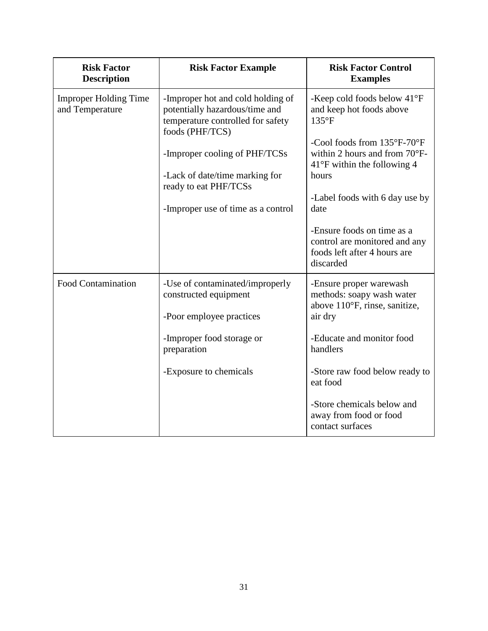| <b>Risk Factor</b><br><b>Description</b>        | <b>Risk Factor Example</b>                                                                                                  | <b>Risk Factor Control</b><br><b>Examples</b>                                                                  |
|-------------------------------------------------|-----------------------------------------------------------------------------------------------------------------------------|----------------------------------------------------------------------------------------------------------------|
| <b>Improper Holding Time</b><br>and Temperature | -Improper hot and cold holding of<br>potentially hazardous/time and<br>temperature controlled for safety<br>foods (PHF/TCS) | -Keep cold foods below 41°F<br>and keep hot foods above<br>$135^{\circ}F$                                      |
|                                                 | -Improper cooling of PHF/TCSs<br>-Lack of date/time marking for                                                             | -Cool foods from 135°F-70°F<br>within 2 hours and from 70°F-<br>$41^{\circ}$ F within the following 4<br>hours |
|                                                 | ready to eat PHF/TCSs<br>-Improper use of time as a control                                                                 | -Label foods with 6 day use by<br>date                                                                         |
|                                                 |                                                                                                                             | -Ensure foods on time as a<br>control are monitored and any<br>foods left after 4 hours are<br>discarded       |
| <b>Food Contamination</b>                       | -Use of contaminated/improperly<br>constructed equipment<br>-Poor employee practices                                        | -Ensure proper warewash<br>methods: soapy wash water<br>above 110°F, rinse, sanitize,<br>air dry               |
|                                                 | -Improper food storage or<br>preparation                                                                                    | -Educate and monitor food<br>handlers                                                                          |
|                                                 | -Exposure to chemicals                                                                                                      | -Store raw food below ready to<br>eat food                                                                     |
|                                                 |                                                                                                                             | -Store chemicals below and<br>away from food or food<br>contact surfaces                                       |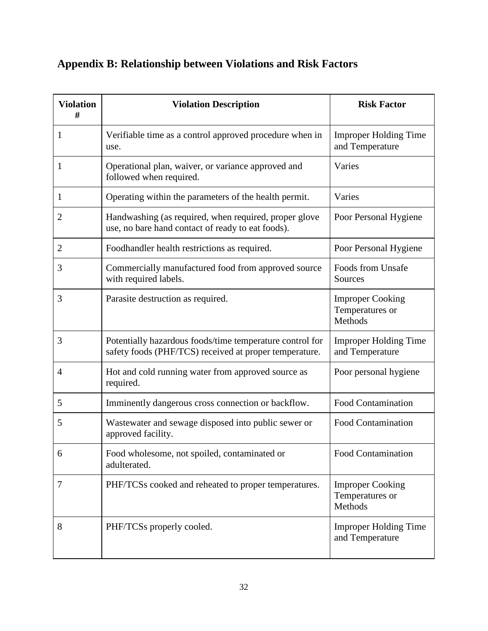## <span id="page-38-0"></span>**Appendix B: Relationship between Violations and Risk Factors**

| <b>Violation</b><br># | <b>Violation Description</b>                                                                                       | <b>Risk Factor</b>                                    |
|-----------------------|--------------------------------------------------------------------------------------------------------------------|-------------------------------------------------------|
| 1                     | Verifiable time as a control approved procedure when in<br>use.                                                    | <b>Improper Holding Time</b><br>and Temperature       |
| 1                     | Operational plan, waiver, or variance approved and<br>followed when required.                                      | Varies                                                |
| 1                     | Operating within the parameters of the health permit.                                                              | Varies                                                |
| $\overline{2}$        | Handwashing (as required, when required, proper glove<br>use, no bare hand contact of ready to eat foods).         | Poor Personal Hygiene                                 |
| 2                     | Foodhandler health restrictions as required.                                                                       | Poor Personal Hygiene                                 |
| 3                     | Commercially manufactured food from approved source<br>with required labels.                                       | Foods from Unsafe<br>Sources                          |
| 3                     | Parasite destruction as required.                                                                                  | <b>Improper Cooking</b><br>Temperatures or<br>Methods |
| 3                     | Potentially hazardous foods/time temperature control for<br>safety foods (PHF/TCS) received at proper temperature. | <b>Improper Holding Time</b><br>and Temperature       |
| $\overline{4}$        | Hot and cold running water from approved source as<br>required.                                                    | Poor personal hygiene                                 |
| 5                     | Imminently dangerous cross connection or backflow.                                                                 | <b>Food Contamination</b>                             |
| 5                     | Wastewater and sewage disposed into public sewer or<br>approved facility.                                          | Food Contamination                                    |
| 6                     | Food wholesome, not spoiled, contaminated or<br>adulterated.                                                       | <b>Food Contamination</b>                             |
| 7                     | PHF/TCSs cooked and reheated to proper temperatures.                                                               | <b>Improper Cooking</b><br>Temperatures or<br>Methods |
| 8                     | PHF/TCSs properly cooled.                                                                                          | <b>Improper Holding Time</b><br>and Temperature       |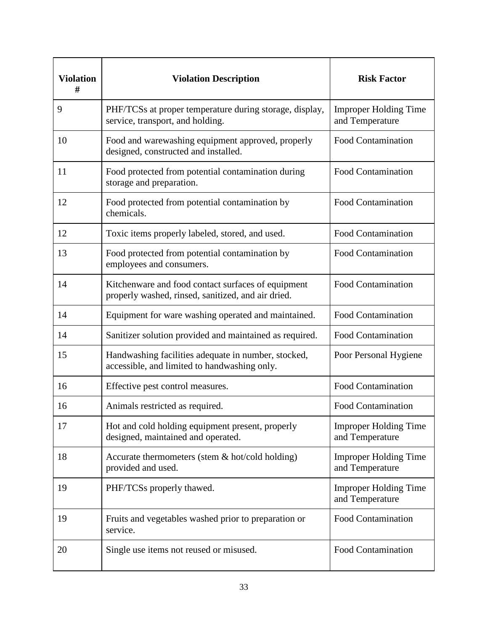| <b>Violation</b><br># | <b>Violation Description</b>                                                                             | <b>Risk Factor</b>                              |
|-----------------------|----------------------------------------------------------------------------------------------------------|-------------------------------------------------|
| 9                     | PHF/TCSs at proper temperature during storage, display,<br>service, transport, and holding.              | <b>Improper Holding Time</b><br>and Temperature |
| 10                    | Food and warewashing equipment approved, properly<br>designed, constructed and installed.                | Food Contamination                              |
| 11                    | Food protected from potential contamination during<br>storage and preparation.                           | Food Contamination                              |
| 12                    | Food protected from potential contamination by<br>chemicals.                                             | <b>Food Contamination</b>                       |
| 12                    | Toxic items properly labeled, stored, and used.                                                          | <b>Food Contamination</b>                       |
| 13                    | Food protected from potential contamination by<br>employees and consumers.                               | <b>Food Contamination</b>                       |
| 14                    | Kitchenware and food contact surfaces of equipment<br>properly washed, rinsed, sanitized, and air dried. | <b>Food Contamination</b>                       |
| 14                    | Equipment for ware washing operated and maintained.                                                      | <b>Food Contamination</b>                       |
| 14                    | Sanitizer solution provided and maintained as required.                                                  | <b>Food Contamination</b>                       |
| 15                    | Handwashing facilities adequate in number, stocked,<br>accessible, and limited to handwashing only.      | Poor Personal Hygiene                           |
| 16                    | Effective pest control measures.                                                                         | <b>Food Contamination</b>                       |
| 16                    | Animals restricted as required.                                                                          | <b>Food Contamination</b>                       |
| 17                    | Hot and cold holding equipment present, properly<br>designed, maintained and operated.                   | <b>Improper Holding Time</b><br>and Temperature |
| 18                    | Accurate thermometers (stem $&$ hot/cold holding)<br>provided and used.                                  | <b>Improper Holding Time</b><br>and Temperature |
| 19                    | PHF/TCSs properly thawed.                                                                                | <b>Improper Holding Time</b><br>and Temperature |
| 19                    | Fruits and vegetables washed prior to preparation or<br>service.                                         | Food Contamination                              |
| 20                    | Single use items not reused or misused.                                                                  | <b>Food Contamination</b>                       |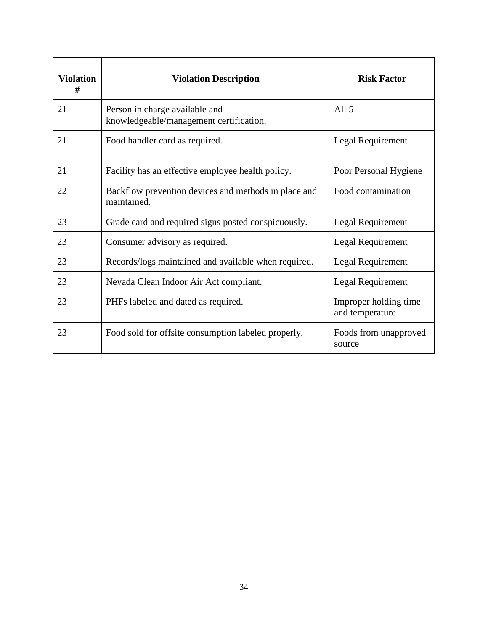| <b>Violation</b><br># | <b>Violation Description</b>                                              | <b>Risk Factor</b>                       |
|-----------------------|---------------------------------------------------------------------------|------------------------------------------|
| 21                    | Person in charge available and<br>knowledgeable/management certification. | All $5$                                  |
| 21                    | Food handler card as required.                                            | Legal Requirement                        |
| 21                    | Facility has an effective employee health policy.                         | Poor Personal Hygiene                    |
| 22                    | Backflow prevention devices and methods in place and<br>maintained.       | Food contamination                       |
| 23                    | Grade card and required signs posted conspicuously.                       | Legal Requirement                        |
| 23                    | Consumer advisory as required.                                            | Legal Requirement                        |
| 23                    | Records/logs maintained and available when required.                      | Legal Requirement                        |
| 23                    | Nevada Clean Indoor Air Act compliant.                                    | Legal Requirement                        |
| 23                    | PHFs labeled and dated as required.                                       | Improper holding time<br>and temperature |
| 23                    | Food sold for offsite consumption labeled properly.                       | Foods from unapproved<br>source          |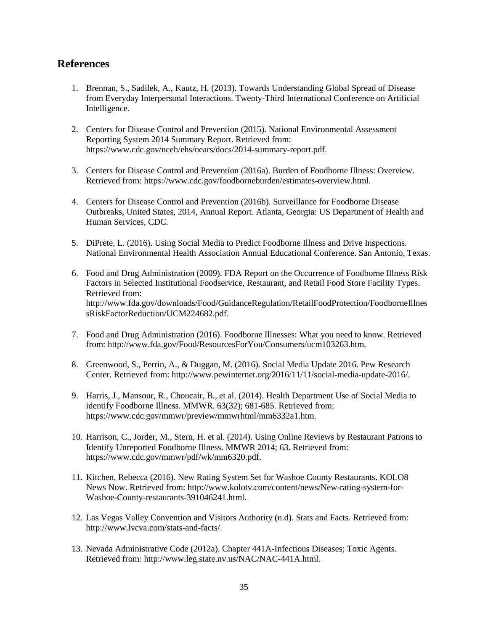#### <span id="page-41-0"></span>**References**

- 1. Brennan, S., Sadilek, A., Kautz, H. (2013). Towards Understanding Global Spread of Disease from Everyday Interpersonal Interactions. Twenty-Third International Conference on Artificial Intelligence.
- 2. Centers for Disease Control and Prevention (2015). National Environmental Assessment Reporting System 2014 Summary Report. Retrieved from: https://www.cdc.gov/nceh/ehs/nears/docs/2014-summary-report.pdf.
- 3. Centers for Disease Control and Prevention (2016a). Burden of Foodborne Illness: Overview. Retrieved from: https://www.cdc.gov/foodborneburden/estimates-overview.html.
- 4. Centers for Disease Control and Prevention (2016b). Surveillance for Foodborne Disease Outbreaks, United States, 2014, Annual Report. Atlanta, Georgia: US Department of Health and Human Services, CDC.
- 5. DiPrete, L. (2016). Using Social Media to Predict Foodborne Illness and Drive Inspections. National Environmental Health Association Annual Educational Conference. San Antonio, Texas.
- 6. Food and Drug Administration (2009). FDA Report on the Occurrence of Foodborne Illness Risk Factors in Selected Institutional Foodservice, Restaurant, and Retail Food Store Facility Types. Retrieved from: http://www.fda.gov/downloads/Food/GuidanceRegulation/RetailFoodProtection/FoodborneIllnes sRiskFactorReduction/UCM224682.pdf.
- 7. Food and Drug Administration (2016). Foodborne Illnesses: What you need to know. Retrieved from: http://www.fda.gov/Food/ResourcesForYou/Consumers/ucm103263.htm.
- 8. Greenwood, S., Perrin, A., & Duggan, M. (2016). Social Media Update 2016. Pew Research Center. Retrieved from: http://www.pewinternet.org/2016/11/11/social-media-update-2016/.
- 9. Harris, J., Mansour, R., Choucair, B., et al. (2014). Health Department Use of Social Media to identify Foodborne Illness. MMWR. 63(32); 681-685. Retrieved from: https://www.cdc.gov/mmwr/preview/mmwrhtml/mm6332a1.htm.
- 10. Harrison, C., Jorder, M., Stern, H. et al. (2014). Using Online Reviews by Restaurant Patrons to Identify Unreported Foodborne Illness. MMWR 2014; 63. Retrieved from: https://www.cdc.gov/mmwr/pdf/wk/mm6320.pdf.
- 11. Kitchen, Rebecca (2016). New Rating System Set for Washoe County Restaurants. KOLO8 News Now. Retrieved from: http://www.kolotv.com/content/news/New-rating-system-for-Washoe-County-restaurants-391046241.html.
- 12. Las Vegas Valley Convention and Visitors Authority (n.d). Stats and Facts. Retrieved from: http://www.lvcva.com/stats-and-facts/.
- 13. Nevada Administrative Code (2012a). Chapter 441A-Infectious Diseases; Toxic Agents. Retrieved from: http://www.leg.state.nv.us/NAC/NAC-441A.html.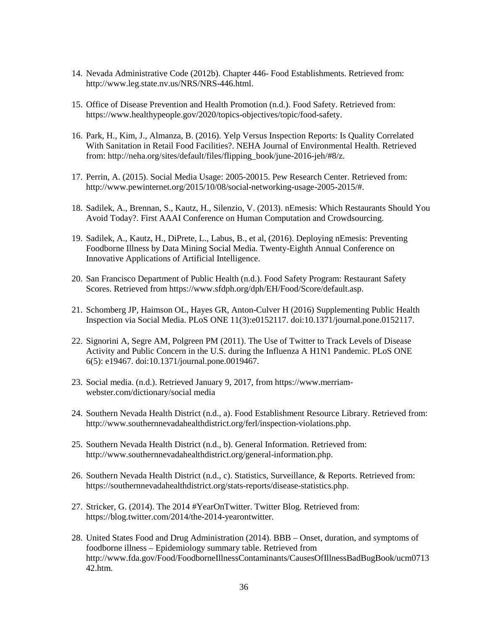- 14. Nevada Administrative Code (2012b). Chapter 446- Food Establishments. Retrieved from: http://www.leg.state.nv.us/NRS/NRS-446.html.
- 15. Office of Disease Prevention and Health Promotion (n.d.). Food Safety. Retrieved from: https://www.healthypeople.gov/2020/topics-objectives/topic/food-safety.
- 16. Park, H., Kim, J., Almanza, B. (2016). Yelp Versus Inspection Reports: Is Quality Correlated With Sanitation in Retail Food Facilities?. NEHA Journal of Environmental Health. Retrieved from: http://neha.org/sites/default/files/flipping\_book/june-2016-jeh/#8/z.
- 17. Perrin, A. (2015). Social Media Usage: 2005-20015. Pew Research Center. Retrieved from: http://www.pewinternet.org/2015/10/08/social-networking-usage-2005-2015/#.
- 18. Sadilek, A., Brennan, S., Kautz, H., Silenzio, V. (2013). nEmesis: Which Restaurants Should You Avoid Today?. First AAAI Conference on Human Computation and Crowdsourcing.
- 19. Sadilek, A., Kautz, H., DiPrete, L., Labus, B., et al, (2016). Deploying nEmesis: Preventing Foodborne Illness by Data Mining Social Media. Twenty-Eighth Annual Conference on Innovative Applications of Artificial Intelligence.
- 20. San Francisco Department of Public Health (n.d.). Food Safety Program: Restaurant Safety Scores. Retrieved from https://www.sfdph.org/dph/EH/Food/Score/default.asp.
- 21. Schomberg JP, Haimson OL, Hayes GR, Anton-Culver H (2016) Supplementing Public Health Inspection via Social Media. PLoS ONE 11(3):e0152117. doi:10.1371/journal.pone.0152117.
- 22. Signorini A, Segre AM, Polgreen PM (2011). The Use of Twitter to Track Levels of Disease Activity and Public Concern in the U.S. during the Influenza A H1N1 Pandemic. PLoS ONE 6(5): e19467. doi:10.1371/journal.pone.0019467.
- 23. Social media. (n.d.). Retrieved January 9, 2017, from https://www.merriamwebster.com/dictionary/social media
- 24. Southern Nevada Health District (n.d., a). Food Establishment Resource Library. Retrieved from: http://www.southernnevadahealthdistrict.org/ferl/inspection-violations.php.
- 25. Southern Nevada Health District (n.d., b). General Information. Retrieved from: http://www.southernnevadahealthdistrict.org/general-information.php.
- 26. Southern Nevada Health District (n.d., c). Statistics, Surveillance, & Reports. Retrieved from: https://southernnevadahealthdistrict.org/stats-reports/disease-statistics.php.
- 27. Stricker, G. (2014). The 2014 #YearOnTwitter. Twitter Blog. Retrieved from: https://blog.twitter.com/2014/the-2014-yearontwitter.
- 28. United States Food and Drug Administration (2014). BBB Onset, duration, and symptoms of foodborne illness – Epidemiology summary table. Retrieved from http://www.fda.gov/Food/FoodborneIllnessContaminants/CausesOfIllnessBadBugBook/ucm0713 42.htm.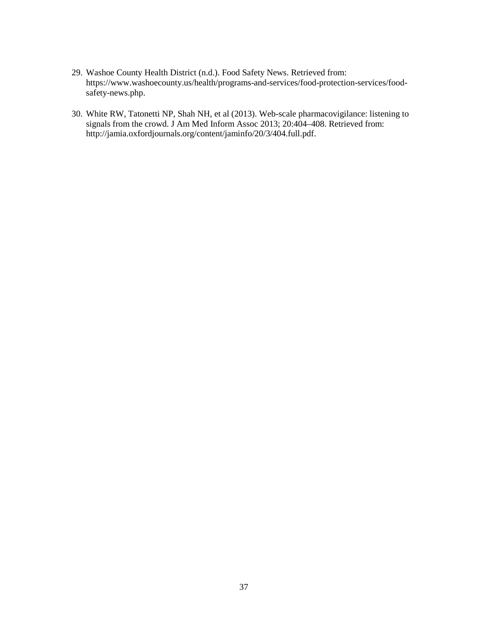- 29. Washoe County Health District (n.d.). Food Safety News. Retrieved from: https://www.washoecounty.us/health/programs-and-services/food-protection-services/foodsafety-news.php.
- 30. White RW, Tatonetti NP, Shah NH, et al (2013). Web-scale pharmacovigilance: listening to signals from the crowd. J Am Med Inform Assoc 2013; 20:404–408. Retrieved from: http://jamia.oxfordjournals.org/content/jaminfo/20/3/404.full.pdf.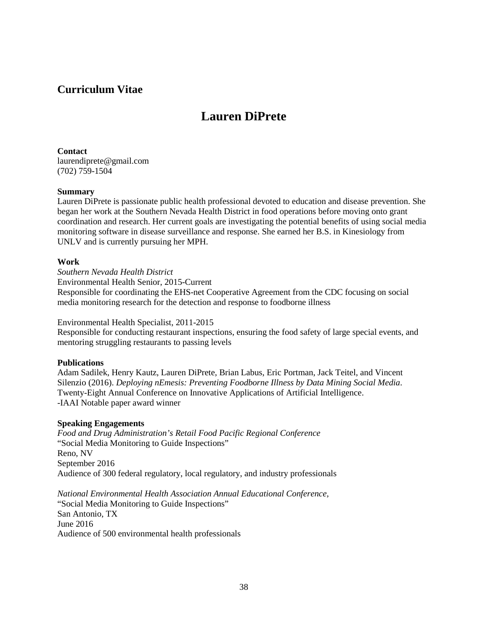## <span id="page-44-0"></span>**Curriculum Vitae**

## **Lauren DiPrete**

**Contact** laurendiprete@gmail.com (702) 759-1504

#### **Summary**

Lauren DiPrete is passionate public health professional devoted to education and disease prevention. She began her work at the Southern Nevada Health District in food operations before moving onto grant coordination and research. Her current goals are investigating the potential benefits of using social media monitoring software in disease surveillance and response. She earned her B.S. in Kinesiology from UNLV and is currently pursuing her MPH.

#### **Work**

*Southern Nevada Health District* Environmental Health Senior, 2015-Current Responsible for coordinating the EHS-net Cooperative Agreement from the CDC focusing on social media monitoring research for the detection and response to foodborne illness

#### Environmental Health Specialist, 2011-2015

Responsible for conducting restaurant inspections, ensuring the food safety of large special events, and mentoring struggling restaurants to passing levels

#### **Publications**

Adam Sadilek, Henry Kautz, Lauren DiPrete, Brian Labus, Eric Portman, Jack Teitel, and Vincent Silenzio (2016). *Deploying nEmesis: Preventing Foodborne Illness by Data Mining Social Media*. Twenty-Eight Annual Conference on Innovative Applications of Artificial Intelligence. -IAAI Notable paper award winner

#### **Speaking Engagements**

*Food and Drug Administration's Retail Food Pacific Regional Conference* "Social Media Monitoring to Guide Inspections" Reno, NV September 2016 Audience of 300 federal regulatory, local regulatory, and industry professionals

*National Environmental Health Association Annual Educational Conference,*  "Social Media Monitoring to Guide Inspections" San Antonio, TX June 2016 Audience of 500 environmental health professionals